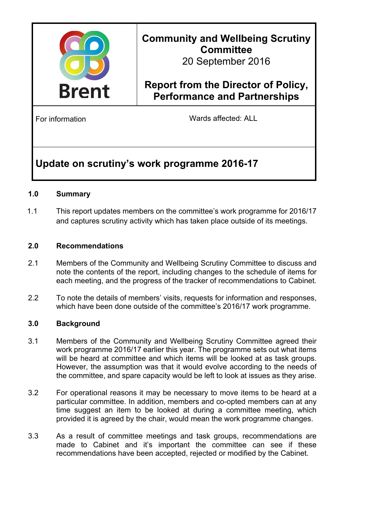

# **Community and Wellbeing Scrutiny Committee**

20 September 2016

## **Report from the Director of Policy, Performance and Partnerships**

For information **Example 20** Wards affected: ALL

## **Update on scrutiny's work programme 2016-17**

### **1.0 Summary**

1.1 This report updates members on the committee's work programme for 2016/17 and captures scrutiny activity which has taken place outside of its meetings.

### **2.0 Recommendations**

- 2.1 Members of the Community and Wellbeing Scrutiny Committee to discuss and note the contents of the report, including changes to the schedule of items for each meeting, and the progress of the tracker of recommendations to Cabinet.
- 2.2 To note the details of members' visits, requests for information and responses, which have been done outside of the committee's 2016/17 work programme.

### **3.0 Background**

- 3.1 Members of the Community and Wellbeing Scrutiny Committee agreed their work programme 2016/17 earlier this year. The programme sets out what items will be heard at committee and which items will be looked at as task groups. However, the assumption was that it would evolve according to the needs of the committee, and spare capacity would be left to look at issues as they arise.
- 3.2 For operational reasons it may be necessary to move items to be heard at a particular committee. In addition, members and co-opted members can at any time suggest an item to be looked at during a committee meeting, which provided it is agreed by the chair, would mean the work programme changes.
- 3.3 As a result of committee meetings and task groups, recommendations are made to Cabinet and it's important the committee can see if these recommendations have been accepted, rejected or modified by the Cabinet.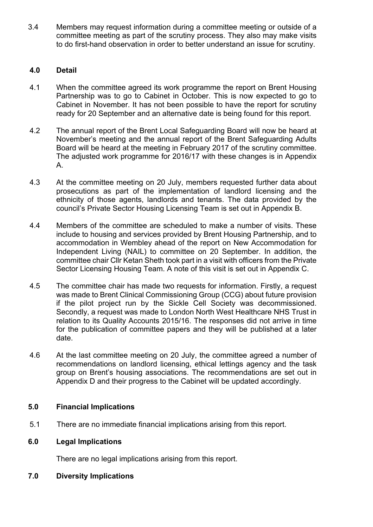3.4 Members may request information during a committee meeting or outside of a committee meeting as part of the scrutiny process. They also may make visits to do first-hand observation in order to better understand an issue for scrutiny.

### **4.0 Detail**

- 4.1 When the committee agreed its work programme the report on Brent Housing Partnership was to go to Cabinet in October. This is now expected to go to Cabinet in November. It has not been possible to have the report for scrutiny ready for 20 September and an alternative date is being found for this report.
- 4.2 The annual report of the Brent Local Safeguarding Board will now be heard at November's meeting and the annual report of the Brent Safeguarding Adults Board will be heard at the meeting in February 2017 of the scrutiny committee. The adjusted work programme for 2016/17 with these changes is in Appendix A.
- 4.3 At the committee meeting on 20 July, members requested further data about prosecutions as part of the implementation of landlord licensing and the ethnicity of those agents, landlords and tenants. The data provided by the council's Private Sector Housing Licensing Team is set out in Appendix B.
- 4.4 Members of the committee are scheduled to make a number of visits. These include to housing and services provided by Brent Housing Partnership, and to accommodation in Wembley ahead of the report on New Accommodation for Independent Living (NAIL) to committee on 20 September. In addition, the committee chair Cllr Ketan Sheth took part in a visit with officers from the Private Sector Licensing Housing Team. A note of this visit is set out in Appendix C.
- 4.5 The committee chair has made two requests for information. Firstly, a request was made to Brent Clinical Commissioning Group (CCG) about future provision if the pilot project run by the Sickle Cell Society was decommissioned. Secondly, a request was made to London North West Healthcare NHS Trust in relation to its Quality Accounts 2015/16. The responses did not arrive in time for the publication of committee papers and they will be published at a later date.
- 4.6 At the last committee meeting on 20 July, the committee agreed a number of recommendations on landlord licensing, ethical lettings agency and the task group on Brent's housing associations. The recommendations are set out in Appendix D and their progress to the Cabinet will be updated accordingly.

### **5.0 Financial Implications**

5.1 There are no immediate financial implications arising from this report.

### **6.0 Legal Implications**

There are no legal implications arising from this report.

### **7.0 Diversity Implications**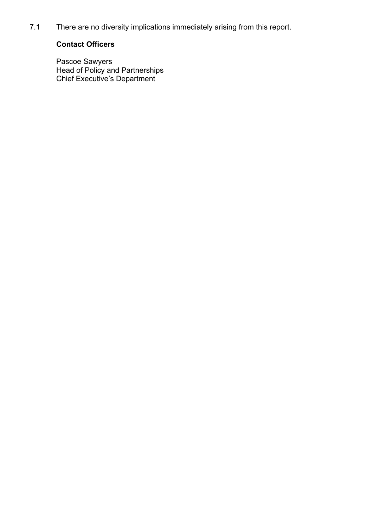7.1 There are no diversity implications immediately arising from this report.

### **Contact Officers**

Pascoe Sawyers Head of Policy and Partnerships Chief Executive's Department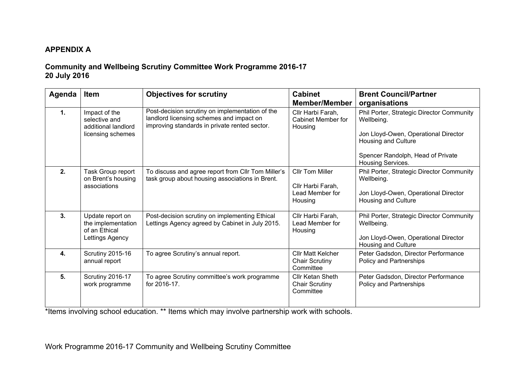### **APPENDIX A**

### **Community and Wellbeing Scrutiny Committee Work Programme 2016-17 20 July 2016**

| Agenda       | <b>Item</b>                                                                | <b>Objectives for scrutiny</b>                                                                                                               | <b>Cabinet</b><br><b>Member/Member</b>                                    | <b>Brent Council/Partner</b><br>organisations                                                                                                               |
|--------------|----------------------------------------------------------------------------|----------------------------------------------------------------------------------------------------------------------------------------------|---------------------------------------------------------------------------|-------------------------------------------------------------------------------------------------------------------------------------------------------------|
| 1.           | Impact of the<br>selective and<br>additional landlord<br>licensing schemes | Post-decision scrutiny on implementation of the<br>landlord licensing schemes and impact on<br>improving standards in private rented sector. | Cllr Harbi Farah,<br>Cabinet Member for<br>Housing                        | Phil Porter, Strategic Director Community<br>Wellbeing.<br>Jon Lloyd-Owen, Operational Director<br>Housing and Culture<br>Spencer Randolph, Head of Private |
|              |                                                                            |                                                                                                                                              |                                                                           | Housing Services.                                                                                                                                           |
| 2.           | Task Group report<br>on Brent's housing<br>associations                    | To discuss and agree report from CIIr Tom Miller's<br>task group about housing associations in Brent.                                        | <b>Cllr Tom Miller</b><br>Cllr Harbi Farah,<br>Lead Member for<br>Housing | Phil Porter, Strategic Director Community<br>Wellbeing.<br>Jon Lloyd-Owen, Operational Director<br><b>Housing and Culture</b>                               |
|              |                                                                            |                                                                                                                                              |                                                                           |                                                                                                                                                             |
| 3.           | Update report on<br>the implementation<br>of an Ethical<br>Lettings Agency | Post-decision scrutiny on implementing Ethical<br>Lettings Agency agreed by Cabinet in July 2015.                                            | Cllr Harbi Farah,<br>Lead Member for<br>Housing                           | Phil Porter, Strategic Director Community<br>Wellbeing.<br>Jon Lloyd-Owen, Operational Director<br>Housing and Culture                                      |
| $\mathbf{4}$ | <b>Scrutiny 2015-16</b><br>annual report                                   | To agree Scrutiny's annual report.                                                                                                           | <b>Cllr Matt Kelcher</b><br><b>Chair Scrutiny</b><br>Committee            | Peter Gadsdon, Director Performance<br>Policy and Partnerships                                                                                              |
| 5.           | Scrutiny 2016-17<br>work programme                                         | To agree Scrutiny committee's work programme<br>for 2016-17.                                                                                 | Cllr Ketan Sheth<br><b>Chair Scrutiny</b><br>Committee                    | Peter Gadsdon, Director Performance<br>Policy and Partnerships                                                                                              |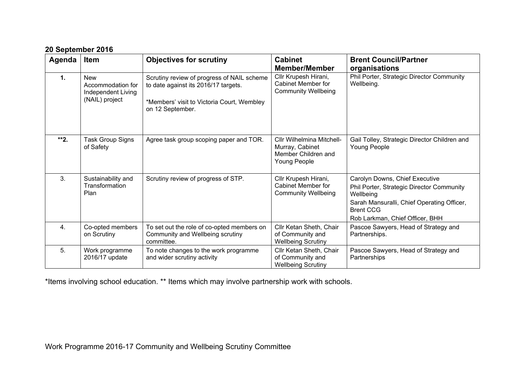| Agenda         | <b>Item</b>                                                             | <b>Objectives for scrutiny</b>                                                                                                                       | <b>Cabinet</b><br><b>Member/Member</b>                                              | <b>Brent Council/Partner</b><br>organisations                                                                                                                                                 |
|----------------|-------------------------------------------------------------------------|------------------------------------------------------------------------------------------------------------------------------------------------------|-------------------------------------------------------------------------------------|-----------------------------------------------------------------------------------------------------------------------------------------------------------------------------------------------|
| $\mathbf{1}$ . | <b>New</b><br>Accommodation for<br>Independent Living<br>(NAIL) project | Scrutiny review of progress of NAIL scheme<br>to date against its 2016/17 targets.<br>*Members' visit to Victoria Court, Wembley<br>on 12 September. | Cllr Krupesh Hirani,<br><b>Cabinet Member for</b><br><b>Community Wellbeing</b>     | Phil Porter, Strategic Director Community<br>Wellbeing.                                                                                                                                       |
| **2.           | Task Group Signs<br>of Safety                                           | Agree task group scoping paper and TOR.                                                                                                              | Cllr Wilhelmina Mitchell-<br>Murray, Cabinet<br>Member Children and<br>Young People | Gail Tolley, Strategic Director Children and<br>Young People                                                                                                                                  |
| 3.             | Sustainability and<br>Transformation<br>Plan                            | Scrutiny review of progress of STP.                                                                                                                  | Cllr Krupesh Hirani,<br>Cabinet Member for<br><b>Community Wellbeing</b>            | Carolyn Downs, Chief Executive<br>Phil Porter, Strategic Director Community<br>Wellbeing<br>Sarah Mansuralli, Chief Operating Officer,<br><b>Brent CCG</b><br>Rob Larkman, Chief Officer, BHH |
| 4.             | Co-opted members<br>on Scrutiny                                         | To set out the role of co-opted members on<br>Community and Wellbeing scrutiny<br>committee.                                                         | Cllr Ketan Sheth, Chair<br>of Community and<br><b>Wellbeing Scrutiny</b>            | Pascoe Sawyers, Head of Strategy and<br>Partnerships.                                                                                                                                         |
| 5.             | Work programme<br>2016/17 update                                        | To note changes to the work programme<br>and wider scrutiny activity                                                                                 | Cllr Ketan Sheth, Chair<br>of Community and<br><b>Wellbeing Scrutiny</b>            | Pascoe Sawyers, Head of Strategy and<br>Partnerships                                                                                                                                          |

### **20 September 2016**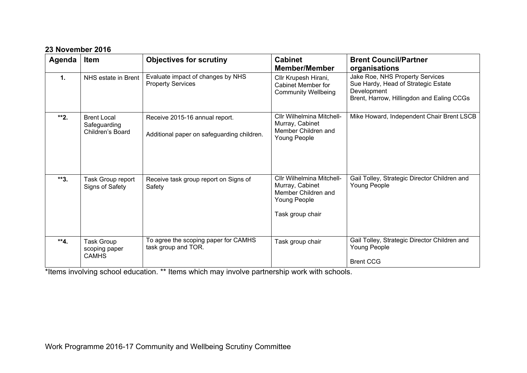|  |  |  |  | 23 November 2016 |
|--|--|--|--|------------------|
|--|--|--|--|------------------|

| Agenda | <b>Item</b>                                            | <b>Objectives for scrutiny</b>                                               | <b>Cabinet</b><br><b>Member/Member</b>                                                                  | <b>Brent Council/Partner</b><br>organisations                                                                                      |
|--------|--------------------------------------------------------|------------------------------------------------------------------------------|---------------------------------------------------------------------------------------------------------|------------------------------------------------------------------------------------------------------------------------------------|
| 1.     | NHS estate in Brent                                    | Evaluate impact of changes by NHS<br><b>Property Services</b>                | Cllr Krupesh Hirani,<br><b>Cabinet Member for</b><br><b>Community Wellbeing</b>                         | Jake Roe, NHS Property Services<br>Sue Hardy, Head of Strategic Estate<br>Development<br>Brent, Harrow, Hillingdon and Ealing CCGs |
| **2.   | <b>Brent Local</b><br>Safeguarding<br>Children's Board | Receive 2015-16 annual report.<br>Additional paper on safeguarding children. | Cllr Wilhelmina Mitchell-<br>Murray, Cabinet<br>Member Children and<br>Young People                     | Mike Howard, Independent Chair Brent LSCB                                                                                          |
| $**3.$ | Task Group report<br>Signs of Safety                   | Receive task group report on Signs of<br>Safety                              | Cllr Wilhelmina Mitchell-<br>Murray, Cabinet<br>Member Children and<br>Young People<br>Task group chair | Gail Tolley, Strategic Director Children and<br>Young People                                                                       |
| **4.   | <b>Task Group</b><br>scoping paper<br><b>CAMHS</b>     | To agree the scoping paper for CAMHS<br>task group and TOR.                  | Task group chair                                                                                        | Gail Tolley, Strategic Director Children and<br>Young People<br><b>Brent CCG</b>                                                   |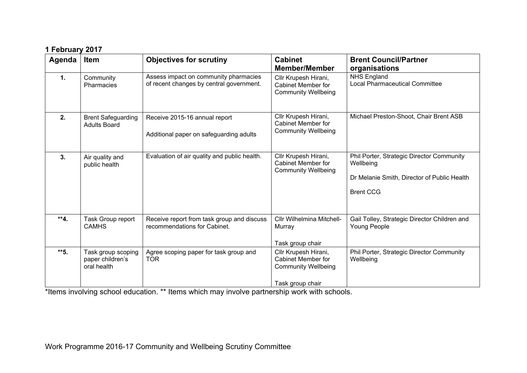| 1 February 2017 |  |
|-----------------|--|
|                 |  |

| Agenda | <b>Item</b>                                           | <b>Objectives for scrutiny</b>                                                    | <b>Cabinet</b><br><b>Member/Member</b>                                                              | <b>Brent Council/Partner</b><br>organisations                                                                             |
|--------|-------------------------------------------------------|-----------------------------------------------------------------------------------|-----------------------------------------------------------------------------------------------------|---------------------------------------------------------------------------------------------------------------------------|
| 1.     | Community<br>Pharmacies                               | Assess impact on community pharmacies<br>of recent changes by central government. | Cllr Krupesh Hirani,<br><b>Cabinet Member for</b><br><b>Community Wellbeing</b>                     | <b>NHS England</b><br><b>Local Pharmaceutical Committee</b>                                                               |
| 2.     | <b>Brent Safeguarding</b><br><b>Adults Board</b>      | Receive 2015-16 annual report<br>Additional paper on safeguarding adults          | Cllr Krupesh Hirani,<br>Cabinet Member for<br><b>Community Wellbeing</b>                            | Michael Preston-Shoot, Chair Brent ASB                                                                                    |
| 3.     | Air quality and<br>public health                      | Evaluation of air quality and public health.                                      | Cllr Krupesh Hirani,<br><b>Cabinet Member for</b><br><b>Community Wellbeing</b>                     | Phil Porter, Strategic Director Community<br>Wellbeing<br>Dr Melanie Smith, Director of Public Health<br><b>Brent CCG</b> |
| $**4.$ | Task Group report<br><b>CAMHS</b>                     | Receive report from task group and discuss<br>recommendations for Cabinet.        | Cllr Wilhelmina Mitchell-<br>Murray<br>Task group chair                                             | Gail Tolley, Strategic Director Children and<br>Young People                                                              |
| $*$ 5. | Task group scoping<br>paper children's<br>oral health | Agree scoping paper for task group and<br><b>TOR</b>                              | Cllr Krupesh Hirani,<br><b>Cabinet Member for</b><br><b>Community Wellbeing</b><br>Task group chair | Phil Porter, Strategic Director Community<br>Wellbeing                                                                    |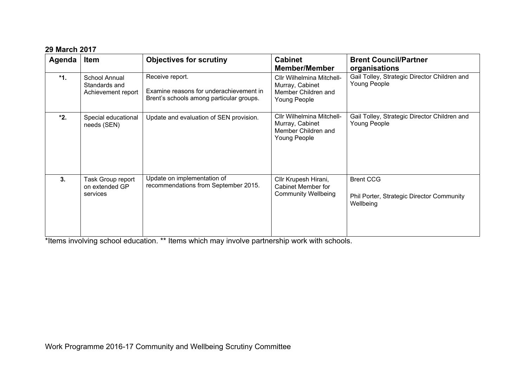### **29 March 2017**

| Agenda | Item                                                 | <b>Objectives for scrutiny</b>                                                                         | <b>Cabinet</b><br><b>Member/Member</b>                                              | <b>Brent Council/Partner</b><br>organisations                              |
|--------|------------------------------------------------------|--------------------------------------------------------------------------------------------------------|-------------------------------------------------------------------------------------|----------------------------------------------------------------------------|
| $*1.$  | School Annual<br>Standards and<br>Achievement report | Receive report.<br>Examine reasons for underachievement in<br>Brent's schools among particular groups. | Cllr Wilhelmina Mitchell-<br>Murray, Cabinet<br>Member Children and<br>Young People | Gail Tolley, Strategic Director Children and<br>Young People               |
| $*2.$  | Special educational<br>needs (SEN)                   | Update and evaluation of SEN provision.                                                                | Cllr Wilhelmina Mitchell-<br>Murray, Cabinet<br>Member Children and<br>Young People | Gail Tolley, Strategic Director Children and<br>Young People               |
| 3.     | Task Group report<br>on extended GP<br>services      | Update on implementation of<br>recommendations from September 2015.                                    | Cllr Krupesh Hirani,<br><b>Cabinet Member for</b><br><b>Community Wellbeing</b>     | <b>Brent CCG</b><br>Phil Porter, Strategic Director Community<br>Wellbeing |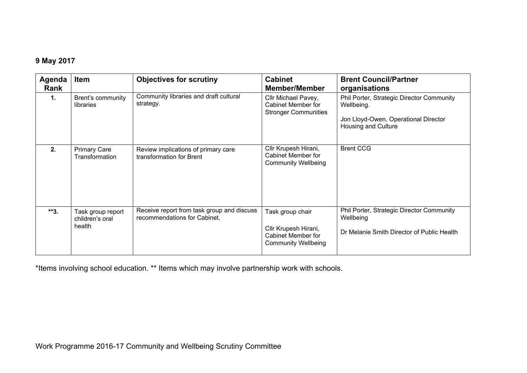### **9 May 2017**

| Agenda<br><b>Rank</b> | Item                                           | <b>Objectives for scrutiny</b>                                             | <b>Cabinet</b><br><b>Member/Member</b>                                                              | <b>Brent Council/Partner</b><br>organisations                                                                          |
|-----------------------|------------------------------------------------|----------------------------------------------------------------------------|-----------------------------------------------------------------------------------------------------|------------------------------------------------------------------------------------------------------------------------|
| 1.                    | Brent's community<br>libraries                 | Community libraries and draft cultural<br>strategy.                        | Cllr Michael Pavey,<br><b>Cabinet Member for</b><br><b>Stronger Communities</b>                     | Phil Porter, Strategic Director Community<br>Wellbeing.<br>Jon Lloyd-Owen, Operational Director<br>Housing and Culture |
| 2.                    | <b>Primary Care</b><br>Transformation          | Review implications of primary care<br>transformation for Brent            | Cllr Krupesh Hirani,<br><b>Cabinet Member for</b><br><b>Community Wellbeing</b>                     | <b>Brent CCG</b>                                                                                                       |
| $**3.$                | Task group report<br>children's oral<br>health | Receive report from task group and discuss<br>recommendations for Cabinet. | Task group chair<br>Cllr Krupesh Hirani,<br><b>Cabinet Member for</b><br><b>Community Wellbeing</b> | Phil Porter, Strategic Director Community<br>Wellbeing<br>Dr Melanie Smith Director of Public Health                   |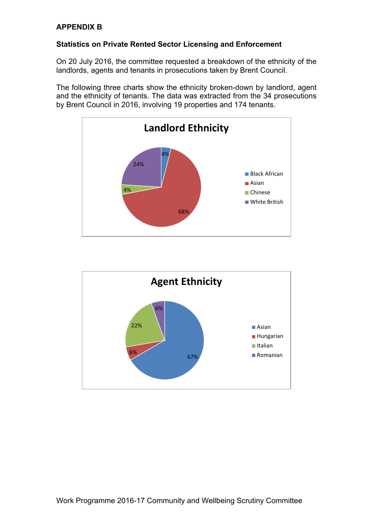### **APPENDIX B**

### **Statistics on Private Rented Sector Licensing and Enforcement**

On 20 July 2016, the committee requested a breakdown of the ethnicity of the landlords, agents and tenants in prosecutions taken by Brent Council.

The following three charts show the ethnicity broken-down by landlord, agent and the ethnicity of tenants. The data was extracted from the 34 prosecutions by Brent Council in 2016, involving 19 properties and 174 tenants.



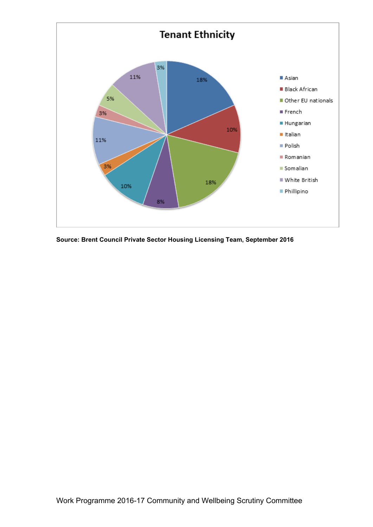

**Source: Brent Council Private Sector Housing Licensing Team, September 2016**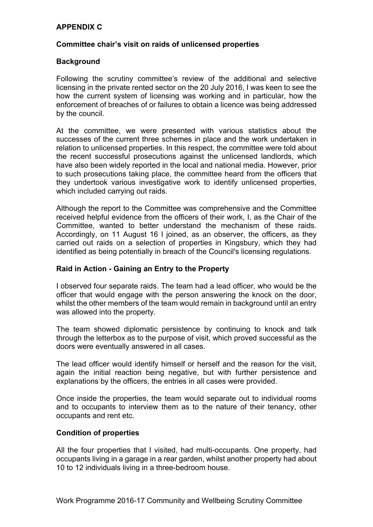### **APPENDIX C**

### **Committee chair's visit on raids of unlicensed properties**

### **Background**

Following the scrutiny committee's review of the additional and selective licensing in the private rented sector on the 20 July 2016, I was keen to see the how the current system of licensing was working and in particular, how the enforcement of breaches of or failures to obtain a licence was being addressed by the council.

At the committee, we were presented with various statistics about the successes of the current three schemes in place and the work undertaken in relation to unlicensed properties. In this respect, the committee were told about the recent successful prosecutions against the unlicensed landlords, which have also been widely reported in the local and national media. However, prior to such prosecutions taking place, the committee heard from the officers that they undertook various investigative work to identify unlicensed properties, which included carrying out raids.

Although the report to the Committee was comprehensive and the Committee received helpful evidence from the officers of their work, I, as the Chair of the Committee, wanted to better understand the mechanism of these raids. Accordingly, on 11 August 16 I joined, as an observer, the officers, as they carried out raids on a selection of properties in Kingsbury, which they had identified as being potentially in breach of the Council's licensing regulations.

### **Raid in Action - Gaining an Entry to the Property**

I observed four separate raids. The team had a lead officer, who would be the officer that would engage with the person answering the knock on the door, whilst the other members of the team would remain in background until an entry was allowed into the property.

The team showed diplomatic persistence by continuing to knock and talk through the letterbox as to the purpose of visit, which proved successful as the doors were eventually answered in all cases.

The lead officer would identify himself or herself and the reason for the visit, again the initial reaction being negative, but with further persistence and explanations by the officers, the entries in all cases were provided.

Once inside the properties, the team would separate out to individual rooms and to occupants to interview them as to the nature of their tenancy, other occupants and rent etc.

### **Condition of properties**

All the four properties that I visited, had multi-occupants. One property, had occupants living in a garage in a rear garden, whilst another property had about 10 to 12 individuals living in a three-bedroom house.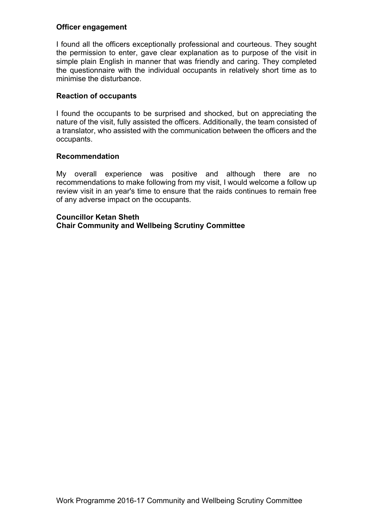### **Officer engagement**

I found all the officers exceptionally professional and courteous. They sought the permission to enter, gave clear explanation as to purpose of the visit in simple plain English in manner that was friendly and caring. They completed the questionnaire with the individual occupants in relatively short time as to minimise the disturbance.

### **Reaction of occupants**

I found the occupants to be surprised and shocked, but on appreciating the nature of the visit, fully assisted the officers. Additionally, the team consisted of a translator, who assisted with the communication between the officers and the occupants.

#### **Recommendation**

My overall experience was positive and although there are no recommendations to make following from my visit, I would welcome a follow up review visit in an year's time to ensure that the raids continues to remain free of any adverse impact on the occupants.

### **Councillor Ketan Sheth Chair Community and Wellbeing Scrutiny Committee**